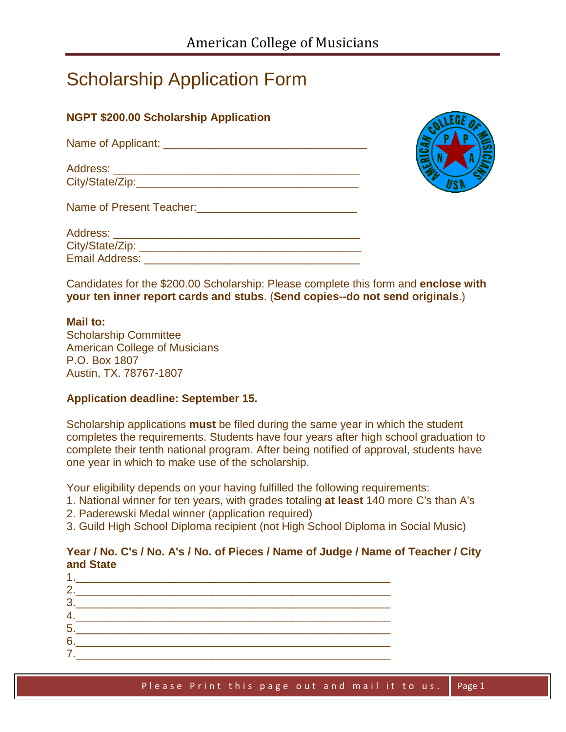# Scholarship Application Form

# **NGPT \$200.00 Scholarship Application**

| Name of Applicant:          |  |
|-----------------------------|--|
| Address:<br>City/State/Zip: |  |
|                             |  |
| Name of Present Teacher:    |  |

Address: \_\_\_\_\_\_\_\_\_\_\_\_\_\_\_\_\_\_\_\_\_\_\_\_\_\_\_\_\_\_\_\_\_\_\_\_\_\_\_\_ City/State/Zip: **Example 2018** 

Email Address: **Email Address:** 



| Candidates for the \$200.00 Scholarship: Please complete this form and enclose with |  |
|-------------------------------------------------------------------------------------|--|
| your ten inner report cards and stubs. (Send copies--do not send originals.)        |  |

#### **Mail to:**

Scholarship Committee American College of Musicians P.O. Box 1807 Austin, TX. 78767-1807

## **Application deadline: September 15.**

Scholarship applications **must** be filed during the same year in which the student completes the requirements. Students have four years after high school graduation to complete their tenth national program. After being notified of approval, students have one year in which to make use of the scholarship.

Your eligibility depends on your having fulfilled the following requirements:

- 1. National winner for ten years, with grades totaling **at least** 140 more C's than A's
- 2. Paderewski Medal winner (application required)
- 3. Guild High School Diploma recipient (not High School Diploma in Social Music)

## **Year / No. C's / No. A's / No. of Pieces / Name of Judge / Name of Teacher / City and State**

| the control of the control of the control of the control of the control of                                                                                      |  |
|-----------------------------------------------------------------------------------------------------------------------------------------------------------------|--|
|                                                                                                                                                                 |  |
| $\begin{array}{c c c c c} \hline \rule{0pt}{2ex} & \rule{0pt}{2ex} \multicolumn{2}{c }{\textbf{3.2}} & \multicolumn{2}{c }{\textbf{6.3}} \\ \hline \end{array}$ |  |
|                                                                                                                                                                 |  |
|                                                                                                                                                                 |  |
|                                                                                                                                                                 |  |
|                                                                                                                                                                 |  |
|                                                                                                                                                                 |  |